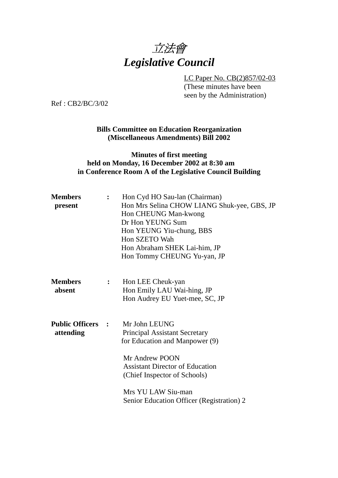

LC Paper No. CB(2)857/02-03 (These minutes have been seen by the Administration)

Ref : CB2/BC/3/02

#### **Bills Committee on Education Reorganization (Miscellaneous Amendments) Bill 2002**

#### **Minutes of first meeting held on Monday, 16 December 2002 at 8:30 am in Conference Room A of the Legislative Council Building**

| <b>Members</b><br>present             |              | Hon Cyd HO Sau-lan (Chairman)<br>Hon Mrs Selina CHOW LIANG Shuk-yee, GBS, JP<br>Hon CHEUNG Man-kwong<br>Dr Hon YEUNG Sum<br>Hon YEUNG Yiu-chung, BBS<br>Hon SZETO Wah<br>Hon Abraham SHEK Lai-him, JP<br>Hon Tommy CHEUNG Yu-yan, JP                   |  |
|---------------------------------------|--------------|--------------------------------------------------------------------------------------------------------------------------------------------------------------------------------------------------------------------------------------------------------|--|
| <b>Members</b><br>absent              | $\mathbf{L}$ | Hon LEE Cheuk-yan<br>Hon Emily LAU Wai-hing, JP<br>Hon Audrey EU Yuet-mee, SC, JP                                                                                                                                                                      |  |
| <b>Public Officers :</b><br>attending |              | Mr John LEUNG<br><b>Principal Assistant Secretary</b><br>for Education and Manpower (9)<br>Mr Andrew POON<br><b>Assistant Director of Education</b><br>(Chief Inspector of Schools)<br>Mrs YU LAW Siu-man<br>Senior Education Officer (Registration) 2 |  |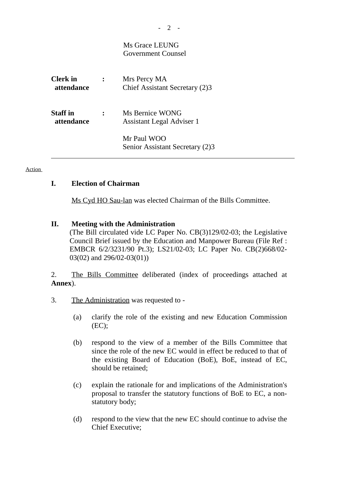# Ms Grace LEUNG Government Counsel

| <b>Clerk</b> in<br>attendance | Mrs Percy MA<br>Chief Assistant Secretary (2)3 |
|-------------------------------|------------------------------------------------|
| <b>Staff</b> in<br>attendance | Ms Bernice WONG<br>Assistant Legal Adviser 1   |
|                               | Mr Paul WOO<br>Senior Assistant Secretary (2)3 |

**Action** 

# **I. Election of Chairman**

Ms Cyd HO Sau-lan was elected Chairman of the Bills Committee.

# **II. Meeting with the Administration**

(The Bill circulated vide LC Paper No. CB(3)129/02-03; the Legislative Council Brief issued by the Education and Manpower Bureau (File Ref : EMBCR 6/2/3231/90 Pt.3); LS21/02-03; LC Paper No. CB(2)668/02- 03(02) and 296/02-03(01))

2. The Bills Committee deliberated (index of proceedings attached at **Annex**).

- 3. The Administration was requested to
	- (a) clarify the role of the existing and new Education Commission  $(EC);$
	- (b) respond to the view of a member of the Bills Committee that since the role of the new EC would in effect be reduced to that of the existing Board of Education (BoE), BoE, instead of EC, should be retained;
	- (c) explain the rationale for and implications of the Administration's proposal to transfer the statutory functions of BoE to EC, a nonstatutory body;
	- (d) respond to the view that the new EC should continue to advise the Chief Executive;

*-* 2 -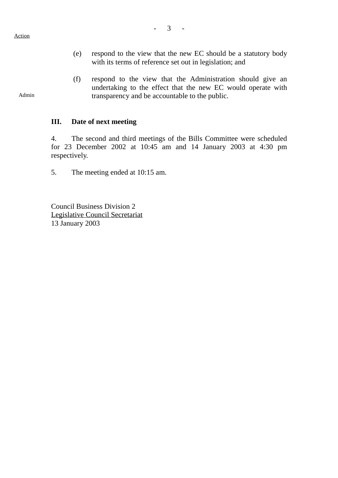#### Action

Admin

- (e) respond to the view that the new EC should be a statutory body with its terms of reference set out in legislation; and
- (f) respond to the view that the Administration should give an undertaking to the effect that the new EC would operate with transparency and be accountable to the public.

#### **III. Date of next meeting**

4. The second and third meetings of the Bills Committee were scheduled for 23 December 2002 at 10:45 am and 14 January 2003 at 4:30 pm respectively.

5. The meeting ended at 10:15 am.

Council Business Division 2 Legislative Council Secretariat 13 January 2003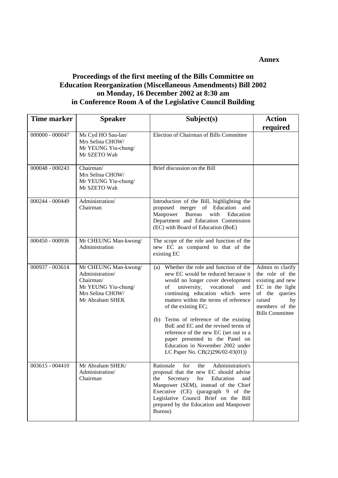**Annex**

### **Proceedings of the first meeting of the Bills Committee on Education Reorganization (Miscellaneous Amendments) Bill 2002 on Monday, 16 December 2002 at 8:30 am in Conference Room A of the Legislative Council Building**

| <b>Time marker</b> | <b>Speaker</b>                                                                                                     | Subject(s)                                                                                                                                                                                                                                                                                                                                                                                                                                                                                               | <b>Action</b>                                                                                                                                            |
|--------------------|--------------------------------------------------------------------------------------------------------------------|----------------------------------------------------------------------------------------------------------------------------------------------------------------------------------------------------------------------------------------------------------------------------------------------------------------------------------------------------------------------------------------------------------------------------------------------------------------------------------------------------------|----------------------------------------------------------------------------------------------------------------------------------------------------------|
| $000000 - 000047$  | Ms Cyd HO Sau-lan/<br>Mrs Selina CHOW/<br>Mr YEUNG Yiu-chung/<br>Mr SZETO Wah                                      | Election of Chairman of Bills Committee                                                                                                                                                                                                                                                                                                                                                                                                                                                                  | required                                                                                                                                                 |
| 000048 - 000243    | Chairman/<br>Mrs Selina CHOW/<br>Mr YEUNG Yiu-chung/<br>Mr SZETO Wah                                               | Brief discussion on the Bill                                                                                                                                                                                                                                                                                                                                                                                                                                                                             |                                                                                                                                                          |
| 000244 - 000449    | Administration/<br>Chairman                                                                                        | Introduction of the Bill, highlighting the<br>proposed merger of Education and<br>Manpower<br>Bureau<br>with<br>Education<br>Department and Education Commission<br>(EC) with Board of Education (BoE)                                                                                                                                                                                                                                                                                                   |                                                                                                                                                          |
| 000450 - 000936    | Mr CHEUNG Man-kwong/<br>Administration                                                                             | The scope of the role and function of the<br>new EC as compared to that of the<br>existing EC                                                                                                                                                                                                                                                                                                                                                                                                            |                                                                                                                                                          |
| 000937 - 003614    | Mr CHEUNG Man-kwong/<br>Administration/<br>Chairman/<br>Mr YEUNG Yiu-chung/<br>Mrs Selina CHOW/<br>Mr Abraham SHEK | Whether the role and function of the<br>(a)<br>new EC would be reduced because it<br>would no longer cover development<br>university,<br>vocational<br>of<br>and<br>continuing education which were<br>matters within the terms of reference<br>of the existing EC;<br>(b) Terms of reference of the existing<br>BoE and EC and the revised terms of<br>reference of the new EC (set out in a<br>paper presented to the Panel on<br>Education in November 2002 under<br>LC Paper No. CB(2)296/02-03(01)) | Admin to clarify<br>the role of the<br>existing and new<br>EC in the light<br>of the queries<br>raised<br>by<br>members of the<br><b>Bills Committee</b> |
| $003615 - 004410$  | Mr Abraham SHEK/<br>Administration/<br>Chairman                                                                    | Rationale<br>Administration's<br>for<br>the<br>proposal that the new EC should advise<br>the<br>Secretary for<br>Education<br>and<br>Manpower (SEM), instead of the Chief<br>Executive (CE) (paragraph 9 of the<br>Legislative Council Brief on the Bill<br>prepared by the Education and Manpower<br>Bureau)                                                                                                                                                                                            |                                                                                                                                                          |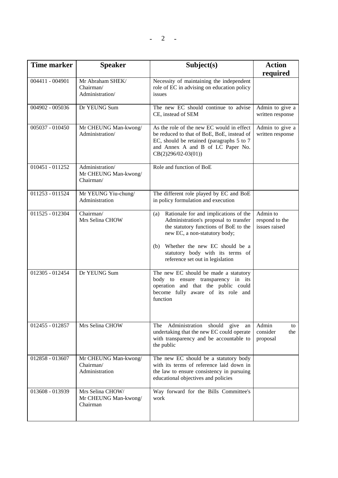| <b>Time marker</b> | <b>Speaker</b>                                       | Subject(s)                                                                                                                                                                                                                                                                       | <b>Action</b><br>required                   |
|--------------------|------------------------------------------------------|----------------------------------------------------------------------------------------------------------------------------------------------------------------------------------------------------------------------------------------------------------------------------------|---------------------------------------------|
| 004411 - 004901    | Mr Abraham SHEK/<br>Chairman/<br>Administration/     | Necessity of maintaining the independent<br>role of EC in advising on education policy<br>issues                                                                                                                                                                                 |                                             |
| 004902 - 005036    | Dr YEUNG Sum                                         | The new EC should continue to advise<br>CE, instead of SEM                                                                                                                                                                                                                       | Admin to give a<br>written response         |
| 005037 - 010450    | Mr CHEUNG Man-kwong/<br>Administration/              | As the role of the new EC would in effect<br>be reduced to that of BoE, BoE, instead of<br>EC, should be retained (paragraphs 5 to 7<br>and Annex A and B of LC Paper No.<br>$CB(2)296/02-03(01))$                                                                               | Admin to give a<br>written response         |
| 010451 - 011252    | Administration/<br>Mr CHEUNG Man-kwong/<br>Chairman/ | Role and function of BoE                                                                                                                                                                                                                                                         |                                             |
| 011253 - 011524    | Mr YEUNG Yiu-chung/<br>Administration                | The different role played by EC and BoE<br>in policy formulation and execution                                                                                                                                                                                                   |                                             |
| 011525 - 012304    | Chairman/<br>Mrs Selina CHOW                         | Rationale for and implications of the<br>(a)<br>Administration's proposal to transfer<br>the statutory functions of BoE to the<br>new EC, a non-statutory body;<br>Whether the new EC should be a<br>(b)<br>statutory body with its terms of<br>reference set out in legislation | Admin to<br>respond to the<br>issues raised |
| 012305 - 012454    | Dr YEUNG Sum                                         | The new EC should be made a statutory<br>body to ensure transparency in its<br>operation and that the public could<br>become fully aware of its role and<br>function                                                                                                             |                                             |
| 012455 - 012857    | Mrs Selina CHOW                                      | The<br>Administration<br>should give<br>an<br>undertaking that the new EC could operate<br>with transparency and be accountable to<br>the public                                                                                                                                 | Admin<br>to<br>consider<br>the<br>proposal  |
| 012858 - 013607    | Mr CHEUNG Man-kwong/<br>Chairman/<br>Administration  | The new EC should be a statutory body<br>with its terms of reference laid down in<br>the law to ensure consistency in pursuing<br>educational objectives and policies                                                                                                            |                                             |
| 013608 - 013939    | Mrs Selina CHOW/<br>Mr CHEUNG Man-kwong/<br>Chairman | Way forward for the Bills Committee's<br>work                                                                                                                                                                                                                                    |                                             |